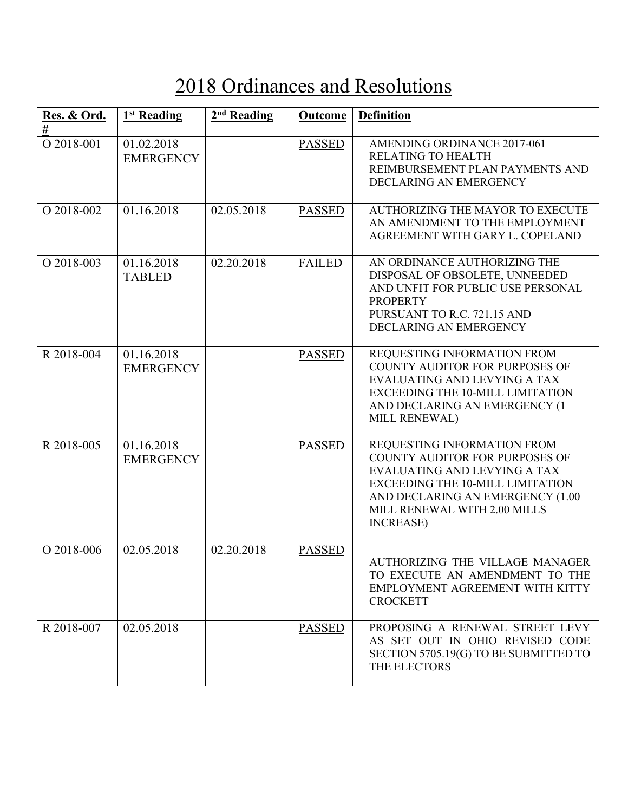## 2018 Ordinances and Resolutions

| Res. & Ord.<br>$\#$ | 1 <sup>st</sup> Reading        | $2nd$ Reading | <b>Outcome</b> | <b>Definition</b>                                                                                                                                                                                                          |
|---------------------|--------------------------------|---------------|----------------|----------------------------------------------------------------------------------------------------------------------------------------------------------------------------------------------------------------------------|
| O 2018-001          | 01.02.2018<br><b>EMERGENCY</b> |               | <b>PASSED</b>  | AMENDING ORDINANCE 2017-061<br>RELATING TO HEALTH<br>REIMBURSEMENT PLAN PAYMENTS AND<br>DECLARING AN EMERGENCY                                                                                                             |
| O 2018-002          | 01.16.2018                     | 02.05.2018    | <b>PASSED</b>  | <b>AUTHORIZING THE MAYOR TO EXECUTE</b><br>AN AMENDMENT TO THE EMPLOYMENT<br>AGREEMENT WITH GARY L. COPELAND                                                                                                               |
| O 2018-003          | 01.16.2018<br><b>TABLED</b>    | 02.20.2018    | <b>FAILED</b>  | AN ORDINANCE AUTHORIZING THE<br>DISPOSAL OF OBSOLETE, UNNEEDED<br>AND UNFIT FOR PUBLIC USE PERSONAL<br><b>PROPERTY</b><br>PURSUANT TO R.C. 721.15 AND<br>DECLARING AN EMERGENCY                                            |
| R 2018-004          | 01.16.2018<br><b>EMERGENCY</b> |               | <b>PASSED</b>  | REQUESTING INFORMATION FROM<br>COUNTY AUDITOR FOR PURPOSES OF<br>EVALUATING AND LEVYING A TAX<br><b>EXCEEDING THE 10-MILL LIMITATION</b><br>AND DECLARING AN EMERGENCY (1<br>MILL RENEWAL)                                 |
| R 2018-005          | 01.16.2018<br><b>EMERGENCY</b> |               | <b>PASSED</b>  | REQUESTING INFORMATION FROM<br>COUNTY AUDITOR FOR PURPOSES OF<br>EVALUATING AND LEVYING A TAX<br>EXCEEDING THE 10-MILL LIMITATION<br>AND DECLARING AN EMERGENCY (1.00<br>MILL RENEWAL WITH 2.00 MILLS<br><b>INCREASE</b> ) |
| O 2018-006          | 02.05.2018                     | 02.20.2018    | <b>PASSED</b>  | AUTHORIZING THE VILLAGE MANAGER<br>TO EXECUTE AN AMENDMENT TO THE<br>EMPLOYMENT AGREEMENT WITH KITTY<br><b>CROCKETT</b>                                                                                                    |
| R 2018-007          | 02.05.2018                     |               | <b>PASSED</b>  | PROPOSING A RENEWAL STREET LEVY<br>AS SET OUT IN OHIO REVISED CODE<br>SECTION 5705.19(G) TO BE SUBMITTED TO<br>THE ELECTORS                                                                                                |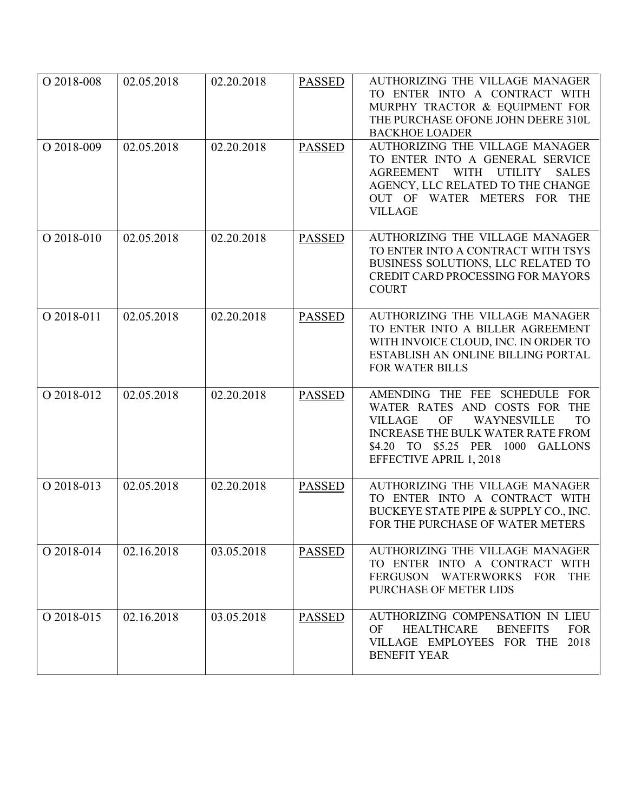| O 2018-008 | 02.05.2018 | 02.20.2018 | <b>PASSED</b> | AUTHORIZING THE VILLAGE MANAGER<br>TO ENTER INTO A CONTRACT WITH<br>MURPHY TRACTOR & EQUIPMENT FOR<br>THE PURCHASE OFONE JOHN DEERE 310L<br><b>BACKHOE LOADER</b>                                                                     |
|------------|------------|------------|---------------|---------------------------------------------------------------------------------------------------------------------------------------------------------------------------------------------------------------------------------------|
| O 2018-009 | 02.05.2018 | 02.20.2018 | <b>PASSED</b> | AUTHORIZING THE VILLAGE MANAGER<br>TO ENTER INTO A GENERAL SERVICE<br>AGREEMENT WITH UTILITY<br><b>SALES</b><br>AGENCY, LLC RELATED TO THE CHANGE<br>OUT OF WATER METERS FOR THE<br><b>VILLAGE</b>                                    |
| O 2018-010 | 02.05.2018 | 02.20.2018 | <b>PASSED</b> | AUTHORIZING THE VILLAGE MANAGER<br>TO ENTER INTO A CONTRACT WITH TSYS<br>BUSINESS SOLUTIONS, LLC RELATED TO<br><b>CREDIT CARD PROCESSING FOR MAYORS</b><br><b>COURT</b>                                                               |
| O 2018-011 | 02.05.2018 | 02.20.2018 | <b>PASSED</b> | <b>AUTHORIZING THE VILLAGE MANAGER</b><br>TO ENTER INTO A BILLER AGREEMENT<br>WITH INVOICE CLOUD, INC. IN ORDER TO<br>ESTABLISH AN ONLINE BILLING PORTAL<br><b>FOR WATER BILLS</b>                                                    |
| O 2018-012 | 02.05.2018 | 02.20.2018 | <b>PASSED</b> | AMENDING THE FEE SCHEDULE FOR<br>WATER RATES AND COSTS FOR THE<br><b>VILLAGE</b><br>OF<br>WAYNESVILLE<br><b>TO</b><br><b>INCREASE THE BULK WATER RATE FROM</b><br>\$4.20 TO \$5.25 PER 1000 GALLONS<br><b>EFFECTIVE APRIL 1, 2018</b> |
| O 2018-013 | 02.05.2018 | 02.20.2018 | <b>PASSED</b> | AUTHORIZING THE VILLAGE MANAGER<br>TO ENTER INTO A CONTRACT WITH<br>BUCKEYE STATE PIPE & SUPPLY CO., INC.<br>FOR THE PURCHASE OF WATER METERS                                                                                         |
| O 2018-014 | 02.16.2018 | 03.05.2018 | <b>PASSED</b> | AUTHORIZING THE VILLAGE MANAGER<br>TO ENTER INTO A CONTRACT WITH<br><b>THE</b><br>FERGUSON WATERWORKS FOR<br>PURCHASE OF METER LIDS                                                                                                   |
| O 2018-015 | 02.16.2018 | 03.05.2018 | <b>PASSED</b> | AUTHORIZING COMPENSATION IN LIEU<br>OF<br><b>HEALTHCARE</b><br><b>BENEFITS</b><br><b>FOR</b><br>VILLAGE EMPLOYEES FOR THE<br>2018<br><b>BENEFIT YEAR</b>                                                                              |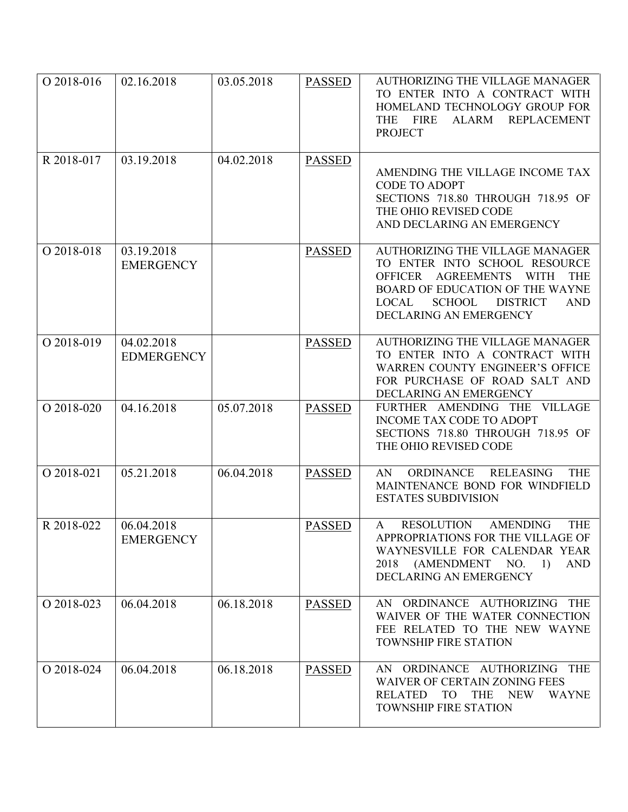| O 2018-016 | 02.16.2018                      | 03.05.2018 | <b>PASSED</b> | <b>AUTHORIZING THE VILLAGE MANAGER</b><br>TO ENTER INTO A CONTRACT WITH<br>HOMELAND TECHNOLOGY GROUP FOR<br>THE FIRE<br><b>REPLACEMENT</b><br>ALARM<br><b>PROJECT</b>                                                                                               |
|------------|---------------------------------|------------|---------------|---------------------------------------------------------------------------------------------------------------------------------------------------------------------------------------------------------------------------------------------------------------------|
| R 2018-017 | 03.19.2018                      | 04.02.2018 | <b>PASSED</b> | AMENDING THE VILLAGE INCOME TAX<br><b>CODE TO ADOPT</b><br>SECTIONS 718.80 THROUGH 718.95 OF<br>THE OHIO REVISED CODE<br>AND DECLARING AN EMERGENCY                                                                                                                 |
| O 2018-018 | 03.19.2018<br><b>EMERGENCY</b>  |            | <b>PASSED</b> | <b>AUTHORIZING THE VILLAGE MANAGER</b><br>TO ENTER INTO SCHOOL RESOURCE<br><b>AGREEMENTS</b><br><b>OFFICER</b><br><b>WITH</b><br><b>THE</b><br>BOARD OF EDUCATION OF THE WAYNE<br><b>SCHOOL</b><br><b>DISTRICT</b><br><b>AND</b><br>LOCAL<br>DECLARING AN EMERGENCY |
| O 2018-019 | 04.02.2018<br><b>EDMERGENCY</b> |            | <b>PASSED</b> | <b>AUTHORIZING THE VILLAGE MANAGER</b><br>TO ENTER INTO A CONTRACT WITH<br>WARREN COUNTY ENGINEER'S OFFICE<br>FOR PURCHASE OF ROAD SALT AND<br>DECLARING AN EMERGENCY                                                                                               |
| O 2018-020 | 04.16.2018                      | 05.07.2018 | <b>PASSED</b> | FURTHER AMENDING THE VILLAGE<br><b>INCOME TAX CODE TO ADOPT</b><br>SECTIONS 718.80 THROUGH 718.95 OF<br>THE OHIO REVISED CODE                                                                                                                                       |
| O 2018-021 | 05.21.2018                      | 06.04.2018 | <b>PASSED</b> | <b>RELEASING</b><br>ORDINANCE<br><b>THE</b><br>AN.<br>MAINTENANCE BOND FOR WINDFIELD<br><b>ESTATES SUBDIVISION</b>                                                                                                                                                  |
| R 2018-022 | 06.04.2018<br><b>EMERGENCY</b>  |            | <b>PASSED</b> | <b>THE</b><br><b>RESOLUTION</b><br><b>AMENDING</b><br>$\mathsf{A}$<br>APPROPRIATIONS FOR THE VILLAGE OF<br>WAYNESVILLE FOR CALENDAR YEAR<br>2018 (AMENDMENT NO. 1)<br><b>AND</b><br>DECLARING AN EMERGENCY                                                          |
| O 2018-023 | 06.04.2018                      | 06.18.2018 | <b>PASSED</b> | AN ORDINANCE AUTHORIZING THE<br>WAIVER OF THE WATER CONNECTION<br>FEE RELATED TO THE NEW WAYNE<br><b>TOWNSHIP FIRE STATION</b>                                                                                                                                      |
| O 2018-024 | 06.04.2018                      | 06.18.2018 | <b>PASSED</b> | AN ORDINANCE AUTHORIZING THE<br><b>WAIVER OF CERTAIN ZONING FEES</b><br><b>RELATED</b><br>TO<br><b>THE</b><br><b>NEW</b><br><b>WAYNE</b><br><b>TOWNSHIP FIRE STATION</b>                                                                                            |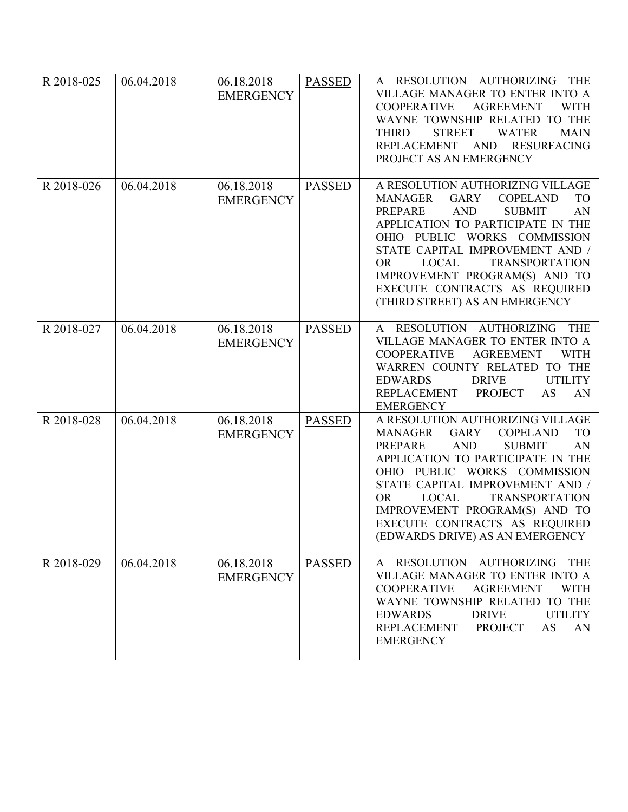| R 2018-025 | 06.04.2018 | 06.18.2018<br><b>EMERGENCY</b> | <b>PASSED</b> | A RESOLUTION AUTHORIZING<br><b>THE</b><br>VILLAGE MANAGER TO ENTER INTO A<br><b>AGREEMENT</b><br><b>WITH</b><br><b>COOPERATIVE</b><br>WAYNE TOWNSHIP RELATED TO THE<br><b>STREET</b><br><b>THIRD</b><br><b>WATER</b><br><b>MAIN</b><br>REPLACEMENT AND<br><b>RESURFACING</b><br>PROJECT AS AN EMERGENCY                                                                                                                     |
|------------|------------|--------------------------------|---------------|-----------------------------------------------------------------------------------------------------------------------------------------------------------------------------------------------------------------------------------------------------------------------------------------------------------------------------------------------------------------------------------------------------------------------------|
| R 2018-026 | 06.04.2018 | 06.18.2018<br><b>EMERGENCY</b> | <b>PASSED</b> | A RESOLUTION AUTHORIZING VILLAGE<br><b>GARY</b><br><b>COPELAND</b><br><b>TO</b><br><b>MANAGER</b><br><b>AND</b><br><b>PREPARE</b><br><b>SUBMIT</b><br>AN<br>APPLICATION TO PARTICIPATE IN THE<br>OHIO PUBLIC WORKS COMMISSION<br>STATE CAPITAL IMPROVEMENT AND /<br><b>OR</b><br><b>LOCAL</b><br><b>TRANSPORTATION</b><br>IMPROVEMENT PROGRAM(S) AND TO<br>EXECUTE CONTRACTS AS REQUIRED<br>(THIRD STREET) AS AN EMERGENCY  |
| R 2018-027 | 06.04.2018 | 06.18.2018<br><b>EMERGENCY</b> | <b>PASSED</b> | A RESOLUTION AUTHORIZING<br><b>THE</b><br>VILLAGE MANAGER TO ENTER INTO A<br><b>AGREEMENT</b><br><b>COOPERATIVE</b><br><b>WITH</b><br>WARREN COUNTY RELATED TO THE<br><b>DRIVE</b><br><b>EDWARDS</b><br><b>UTILITY</b><br><b>PROJECT</b><br>AN<br><b>REPLACEMENT</b><br>AS<br><b>EMERGENCY</b>                                                                                                                              |
| R 2018-028 | 06.04.2018 | 06.18.2018<br><b>EMERGENCY</b> | <b>PASSED</b> | A RESOLUTION AUTHORIZING VILLAGE<br><b>TO</b><br><b>MANAGER</b><br><b>GARY</b><br><b>COPELAND</b><br><b>AND</b><br><b>SUBMIT</b><br><b>PREPARE</b><br>AN<br>APPLICATION TO PARTICIPATE IN THE<br>OHIO PUBLIC WORKS COMMISSION<br>STATE CAPITAL IMPROVEMENT AND /<br><b>OR</b><br><b>TRANSPORTATION</b><br><b>LOCAL</b><br>IMPROVEMENT PROGRAM(S) AND TO<br>EXECUTE CONTRACTS AS REQUIRED<br>(EDWARDS DRIVE) AS AN EMERGENCY |
| R 2018-029 | 06.04.2018 | 06.18.2018<br><b>EMERGENCY</b> | <b>PASSED</b> | RESOLUTION AUTHORIZING<br><b>THE</b><br>$\mathsf{A}$<br>VILLAGE MANAGER TO ENTER INTO A<br><b>COOPERATIVE</b><br><b>AGREEMENT</b><br><b>WITH</b><br>WAYNE TOWNSHIP RELATED TO THE<br><b>EDWARDS</b><br><b>DRIVE</b><br><b>UTILITY</b><br><b>REPLACEMENT</b><br><b>PROJECT</b><br>AS<br>AN<br><b>EMERGENCY</b>                                                                                                               |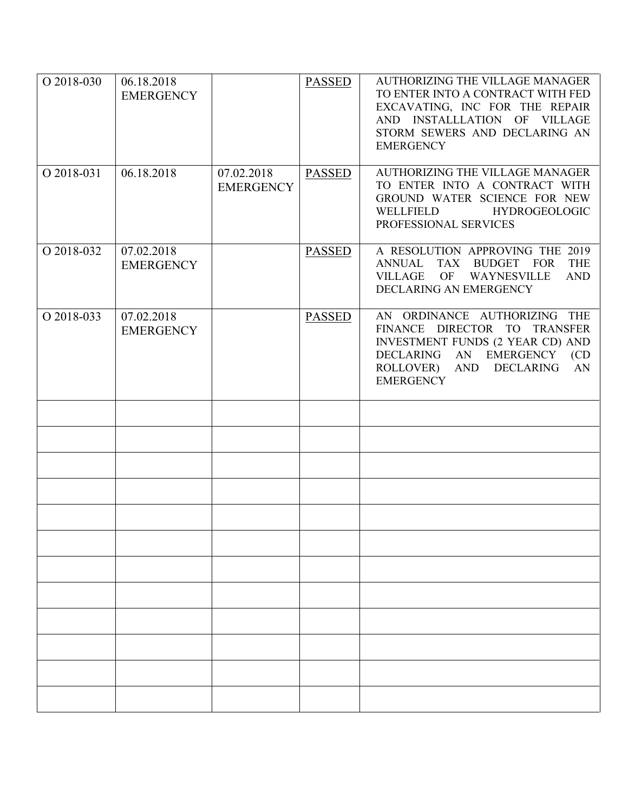| O 2018-030 | 06.18.2018<br><b>EMERGENCY</b> |                                | <b>PASSED</b> | <b>AUTHORIZING THE VILLAGE MANAGER</b><br>TO ENTER INTO A CONTRACT WITH FED<br>EXCAVATING, INC FOR THE REPAIR<br>AND INSTALLLATION OF VILLAGE<br>STORM SEWERS AND DECLARING AN<br><b>EMERGENCY</b> |
|------------|--------------------------------|--------------------------------|---------------|----------------------------------------------------------------------------------------------------------------------------------------------------------------------------------------------------|
| O 2018-031 | 06.18.2018                     | 07.02.2018<br><b>EMERGENCY</b> | <b>PASSED</b> | <b>AUTHORIZING THE VILLAGE MANAGER</b><br>TO ENTER INTO A CONTRACT WITH<br>GROUND WATER SCIENCE FOR NEW<br>WELLFIELD<br><b>HYDROGEOLOGIC</b><br>PROFESSIONAL SERVICES                              |
| O 2018-032 | 07.02.2018<br><b>EMERGENCY</b> |                                | <b>PASSED</b> | A RESOLUTION APPROVING THE 2019<br>ANNUAL TAX BUDGET FOR THE<br>WAYNESVILLE<br><b>AND</b><br>VILLAGE<br>OF<br>DECLARING AN EMERGENCY                                                               |
| O 2018-033 | 07.02.2018<br><b>EMERGENCY</b> |                                | <b>PASSED</b> | AN ORDINANCE AUTHORIZING THE<br>FINANCE DIRECTOR TO TRANSFER<br><b>INVESTMENT FUNDS (2 YEAR CD) AND</b><br>DECLARING AN EMERGENCY (CD<br>ROLLOVER) AND DECLARING<br>AN<br><b>EMERGENCY</b>         |
|            |                                |                                |               |                                                                                                                                                                                                    |
|            |                                |                                |               |                                                                                                                                                                                                    |
|            |                                |                                |               |                                                                                                                                                                                                    |
|            |                                |                                |               |                                                                                                                                                                                                    |
|            |                                |                                |               |                                                                                                                                                                                                    |
|            |                                |                                |               |                                                                                                                                                                                                    |
|            |                                |                                |               |                                                                                                                                                                                                    |
|            |                                |                                |               |                                                                                                                                                                                                    |
|            |                                |                                |               |                                                                                                                                                                                                    |
|            |                                |                                |               |                                                                                                                                                                                                    |
|            |                                |                                |               |                                                                                                                                                                                                    |
|            |                                |                                |               |                                                                                                                                                                                                    |